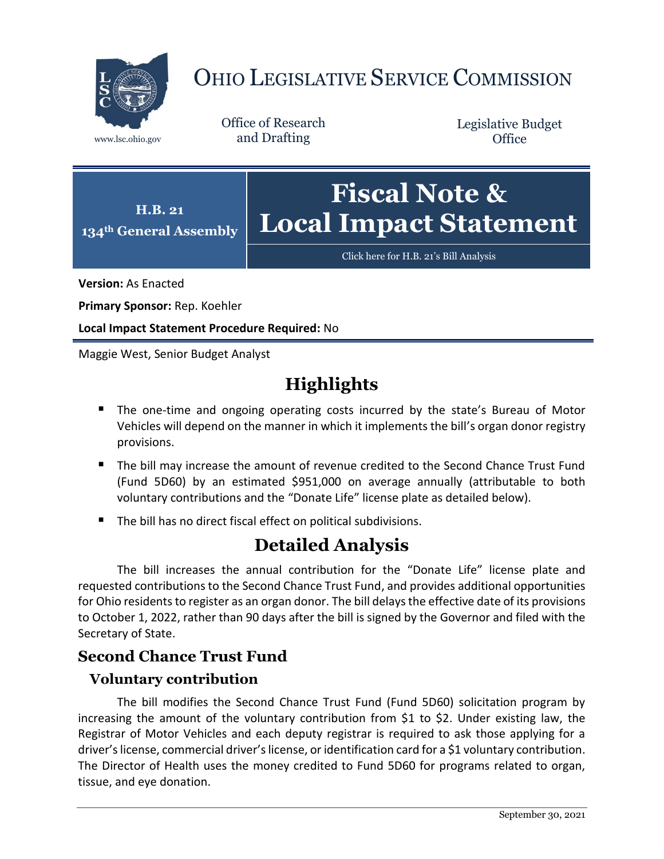

# OHIO LEGISLATIVE SERVICE COMMISSION

Office of Research www.lsc.ohio.gov and Drafting

Legislative Budget **Office** 



[Click here for H.B. 21](https://www.legislature.ohio.gov/legislation/legislation-documents?id=GA134-HB-21)'s Bill Analysis

**Version:** As Enacted

**Primary Sponsor:** Rep. Koehler

**Local Impact Statement Procedure Required:** No

Maggie West, Senior Budget Analyst

## **Highlights**

- **The one-time and ongoing operating costs incurred by the state's Bureau of Motor** Vehicles will depend on the manner in which it implements the bill's organ donor registry provisions.
- The bill may increase the amount of revenue credited to the Second Chance Trust Fund (Fund 5D60) by an estimated \$951,000 on average annually (attributable to both voluntary contributions and the "Donate Life" license plate as detailed below).
- The bill has no direct fiscal effect on political subdivisions.

### **Detailed Analysis**

The bill increases the annual contribution for the "Donate Life" license plate and requested contributions to the Second Chance Trust Fund, and provides additional opportunities for Ohio residents to register as an organ donor. The bill delays the effective date of its provisions to October 1, 2022, rather than 90 days after the bill is signed by the Governor and filed with the Secretary of State.

#### **Second Chance Trust Fund**

#### **Voluntary contribution**

The bill modifies the Second Chance Trust Fund (Fund 5D60) solicitation program by increasing the amount of the voluntary contribution from \$1 to \$2. Under existing law, the Registrar of Motor Vehicles and each deputy registrar is required to ask those applying for a driver's license, commercial driver's license, or identification card for a \$1 voluntary contribution. The Director of Health uses the money credited to Fund 5D60 for programs related to organ, tissue, and eye donation.